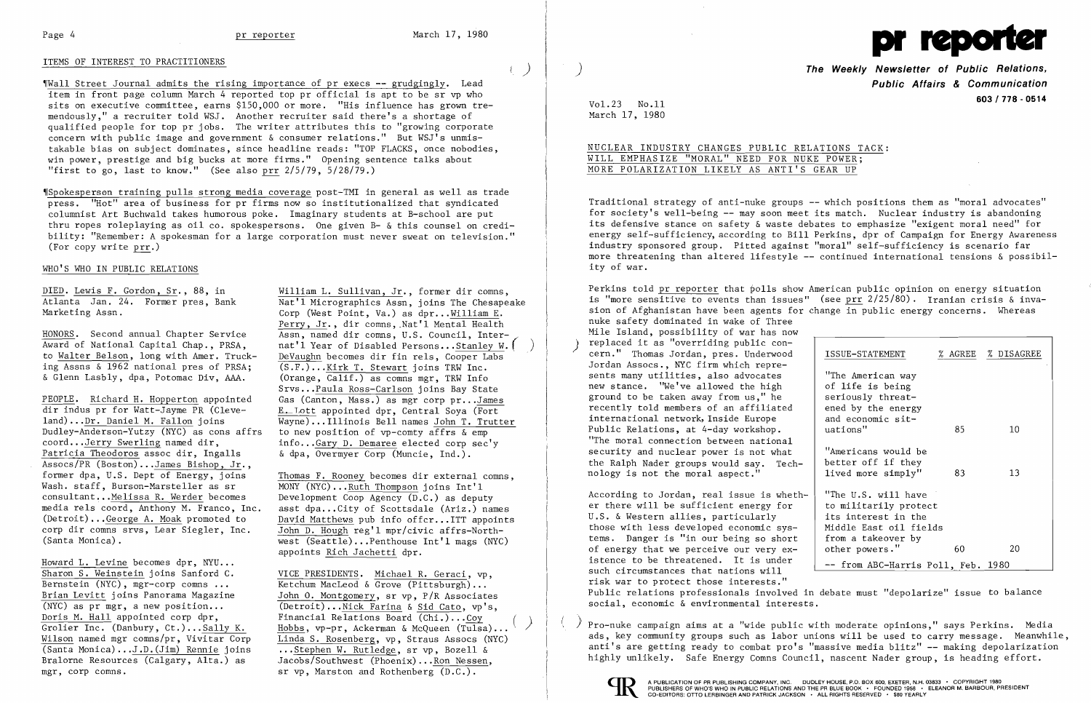# ITEMS OF INTEREST TO PRACTITIONERS

~rWall Street Journal admits the rising importance of pr execs -- grudgingly. Lead item in front page column March 4 reported top pr official is apt to be sr vp who sits on executive committee, earns \$150,000 or more. "His influence has grown tremendously," a recruiter told WSJ. Another recruiter said there's a shortage of qualified people for top pr jobs. The writer attributes this to "growing corporate concern with public image and government & consumer relations." But WSJ's unmistakable bias on subject dominates, since headline reads: "TOP FLACKS, once nobodies, win power, prestige and big bucks at more firms." Opening sentence talks about "first to go, last to know." (See also prr 2/5/79, 5/28/79.)

~ISpokesperson training pulls strong media coverage post-TMI in general as well as trade press. "Hot" area of business for pr firms now so institutionalized that syndicated columnist Art Buchwald takes humorous poke. Imaginary students at B-school are put thru ropes roleplaying as oil co. spokespersons. One given B- & this counsel on credibility: "Remember: A spokesman for a large corporation must never sweat on television." (For copy write prr.)

## WHO'S WHO IN PUBLIC RELATIONS

ing Assns  $\overline{\delta}$  1962 national pres of PRSA;<br> $\delta$  Glenn Lasbly, dpa, Potomac Div. AAA.

Dudley-Anderson-Yutzy (NYC) as cons affrs to new position of vp-comty affrs & emp<br>coord...Jerry Swerling named dir, info...Gary D. Demaree elected corp sec' Patricia Theodoros assoc dir, Ingalls Assocs/PR (Boston)... $James\ Bishop, Jr.$ , former dpa. U.S. Dept of Energy. joins Wash. staff, Burson-Marsteller as sr  $MONT (NYC) \n... Ruth Thompson joins Int'1 constant...Melissa R. Werder becomes Development Coop Agency (D.C.) as debut$ consultant...Melissa R. Werder becomes Development Coop Agency  $(D.C.)$  as deputy media rels coord, Anthony M. Franco, Inc. asst dpa...City of Scottsdale (Ariz.) name

Howard L. Levine becomes dpr, NYU...<br>Sharon S. Weinstein joins Sanford C. Sharon S. Weinstein joins Sanford C.<br>Bernstein (NYC), mgr-corp comns ... Ketchum MacLeod & Grove (Pittsburgh)...

DIED. Lewis F. Gordon, Sr., 88, in William L. Sullivan, Jr., former dir comns, William L. Sullivan, Jr., former dir comns, Atlanta Jan. 24. Former pres, Bank  $\overline{\text{Nat} \text{1} \text{ Micrographics} \text{Assn}}$ , joins The Chesapeake Marketing Assn. Corp (West Point, Va.) as dpr...William E. Perry, Jr., dir comns, Nat'l Mental Health HONORS. Second annual Chapter Service Assn, named dir comns, U.S. Council, Inter-<br>Award of National Capital Chap., PRSA, nat'l Year of Disabled Persons...Stanley W. Award of National Capital Chap., PRSA, nat'l Year of Disabled Persons... Stanley W. (<br>to Walter Belson, long with Amer. Truck- DeVaughn becomes dir fin rels. Cooper Labs DeVaughn becomes dir fin rels, Cooper Labs  $(S.F.)$ ... Kirk T. Stewart joins TRW Inc.  $(0 \text{range}, \overline{\text{Calif.}})$  as comns mgr, TRW Info Srvs ...Paula Ross-Carlson joins Bay State PEOPLE. Richard H. Hopperton appointed Gas (Canton, Mass.) as mgr corp pr...James<br>dir indus pr for Watt-Jayme PR (Cleve- E. Lott appointed dpr. Central Sova (Fort dir indus pr for Watt-Jayme PR (Cleve-  $\frac{E. - I.ott}{Wavne}$ )... Illinois Bell names John T. Trutt  $l$ and)... $Dr. Daniel M. Fallon joins   
Dudley-Anderson-Yutzy (NYC) as cons affrs to new position of vo-conv affrs &*emp*$ </u> info... $Gary D$ . Demaree elected corp sec'y<br>& dpa. Overmver Corp (Muncie, Ind.).

former dpa, U.S. Dept of Energy, joins Thomas F. Rooney becomes dir external comns,<br>Wash. staff. Burson-Marsteller as sr MONY (NYC)...Ruth Thompson joins Int'l media rels coord, Anthony M. Franco, Inc. asst dpa...City of Scottsdale (Ariz.) names<br>(Detroit)...George A. Moak promoted to bavid Matthews pub info offcr...ITT appoints (Detroit)... George A. Moak promoted to David Matthews pub info offcr... ITT appoints<br>corp dir comns srvs, Lear Siegler, Inc. John D. Hough reg'l mpr/civic affrs-Northcorp dir comns srvs, Lear Siegler, Inc. John D. Hough reg'l mpr/civic affrs-North-<br>(Santa Monica). west (Seattle)...Penthouse  $Int'1$  mags (NYC) appoints Rich Jachetti dpr.

Bernstein (NYC), mgr-corp comns ... <br>Brian Levitt joins Panorama Magazine John 0. Montgomery, sr vp. P/R Associate Brian Levitt joins Panorama Magazine  $\frac{\text{John 0. Montgomery}}{\text{(NYC) as pr mgr, a new position...}}$  (Detroit)... Nick Farina & Sid Cato, vp's. (NYC) as pr mgr, a new position ... (Detroit) ... Nick Farina & Sid Cato, vp's, Doris M. Hall appointed corp dpr, Financial Relations Board (Chi.) ... Coy () Bralorne Resources (Calgary, Alta.) as Jacobs/Southwest (Phoenix)...<u>Ron Nessen</u>,<br>mgr, corp comns. sr vp, Marston and Rothenberg (D.C.). sr vp, Marston and Rothenberg  $(D.C.).$ 

According to Jordan, real issue is whether there will be sufficient energy for to militarily protect U.S. & Western allies, particularly those with less developed economic sys - | Middle East oil fields tems. Danger is "in our being so short from a takeover by of energy that we perceive our very ex -  $\vert$  other powers." 60 20 istence to be threatened. It is under<br>such circumstances that nations will -- from ABC-Harris Poll, Feb. 1980 risk war to protect those interests." Public relations professionals involved in debate must "depolarize" issue to balance social, economic & environmental interests.

Doris M. Hall appointed corp dpr, Financial Relations Board (Chi.)...Coy<br>Grolier Inc. (Danbury, Ct.)...<u>Sally K. Hobbs</u>, vp-pr, Ackerman & McQueen (Tulsa)... ( ) Pro-nuke campaign aims at a "wide public with moderate opini ads, key community groups such as labor unions will be used to carry message. Meanwhile, (Santa Monica)...J.D.(Jim) Rennie joins ...Stephen W. Rutledge, sr vp, Bozell & anti's are getting ready to combat pro's "massive media blitz" -- making depolarization ... Branch resources (Calgary, Alta.) as Jacobs/Southw





) **The Weekly Newsletter of Public Relations, Public Affairs & Communication 603/778 - <sup>0514</sup>** Vol. 23 No.11

| ISSUE-STATEMENT                                                                                                                       |    | % AGREE % DISAGREE |
|---------------------------------------------------------------------------------------------------------------------------------------|----|--------------------|
| "The American way<br>of life is being<br>seriously threat-<br>ened by the energy<br>and economic sit-<br>uations"                     | 85 | 10                 |
| "Americans would be<br>better off if they<br>lived more simply"                                                                       | 83 | 13                 |
| "The U.S. will have<br>to militarily protect<br>its interest in the<br>Middle East oil fields<br>from a takeover by<br>other powers." | 60 | 20                 |
| -- from ABC-Harris Poll, Feb. 1980                                                                                                    |    |                    |

March 17, 1980

## NUCLEAR INDUSTRY CHANGES PUBLIC RELATIONS TACK: WILL EMPHASIZE "MORAL" NEED FOR NUKE POWER; MORE POLARIZATION LIKELY AS ANTI'S GEAR UP

Traditional strategy of anti-nuke groups -- which positions them as "moral advocates" for society's well-being -- may soon meet its match. Nuclear industry is abandoning its defensive stance on safety & waste debates to emphasize "exigent moral need" for energy self-sufficiency, according to Bill Perkins, dpr of Campaign for Energy Awareness industry sponsored group. Pitted against "moral" self-sufficiency is scenario far more threatening than altered lifestyle -- continued international tensions & possibility of war.

Perkins told pr reporter that polls show American public opinion on energy situation is "more sensitive to events than issues" (see prr 2/25/80). Iranian crisis & invasion of Afghanistan have been agents for change in public energy concerns. Whereas nuke safety dominated in wake of Three Mile Island, possibility of war has now replaced it as "overriding public con-<br>cern." Thomas Jordan, pres. Underwood Jordan Assocs., NYC firm which represents many utilities, also advocates new stance. "We've allowed the high of life is being ground to be taken away from us," he seriously threatrecently told members of an affiliated ened by the energy international network, Inside Europe and economic sit-Public Relations, at 4-day workshop. | uations" 10 "The moral connection between national security and nuclear power is not what "Americans would be the Ralph Nader groups would say. Tech better off if they nology is not the moral aspect." | lived more simply" 83 13